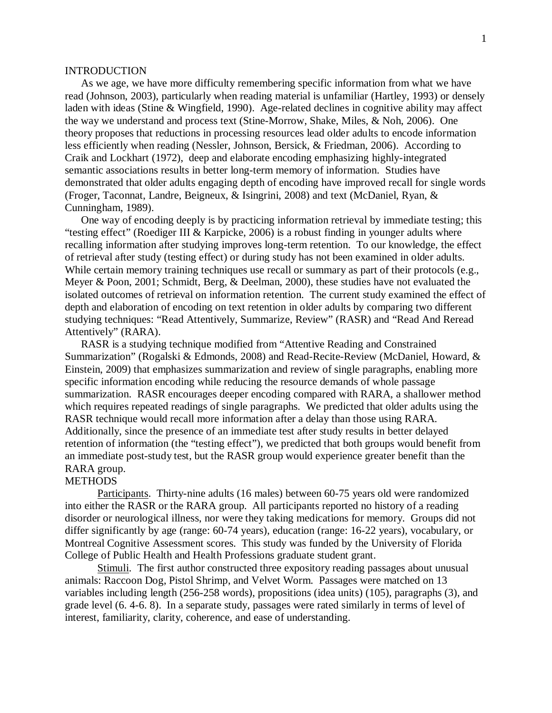#### INTRODUCTION

As we age, we have more difficulty remembering specific information from what we have read (Johnson, 2003), particularly when reading material is unfamiliar (Hartley, 1993) or densely laden with ideas (Stine & Wingfield, 1990). Age-related declines in cognitive ability may affect the way we understand and process text (Stine-Morrow, Shake, Miles, & Noh, 2006). One theory proposes that reductions in processing resources lead older adults to encode information less efficiently when reading (Nessler, Johnson, Bersick, & Friedman, 2006). According to Craik and Lockhart (1972), deep and elaborate encoding emphasizing highly-integrated semantic associations results in better long-term memory of information. Studies have demonstrated that older adults engaging depth of encoding have improved recall for single words (Froger, Taconnat, Landre, Beigneux, & Isingrini, 2008) and text (McDaniel, Ryan, & Cunningham, 1989).

One way of encoding deeply is by practicing information retrieval by immediate testing; this "testing effect" (Roediger III & Karpicke, 2006) is a robust finding in younger adults where recalling information after studying improves long-term retention. To our knowledge, the effect of retrieval after study (testing effect) or during study has not been examined in older adults. While certain memory training techniques use recall or summary as part of their protocols (e.g., Meyer & Poon, 2001; Schmidt, Berg, & Deelman, 2000), these studies have not evaluated the isolated outcomes of retrieval on information retention. The current study examined the effect of depth and elaboration of encoding on text retention in older adults by comparing two different studying techniques: "Read Attentively, Summarize, Review" (RASR) and "Read And Reread Attentively" (RARA).

RASR is a studying technique modified from "Attentive Reading and Constrained Summarization" (Rogalski & Edmonds, 2008) and Read-Recite-Review (McDaniel, Howard, & Einstein, 2009) that emphasizes summarization and review of single paragraphs, enabling more specific information encoding while reducing the resource demands of whole passage summarization. RASR encourages deeper encoding compared with RARA, a shallower method which requires repeated readings of single paragraphs. We predicted that older adults using the RASR technique would recall more information after a delay than those using RARA. Additionally, since the presence of an immediate test after study results in better delayed retention of information (the "testing effect"), we predicted that both groups would benefit from an immediate post-study test, but the RASR group would experience greater benefit than the RARA group.

## **METHODS**

Participants. Thirty-nine adults (16 males) between 60-75 years old were randomized into either the RASR or the RARA group. All participants reported no history of a reading disorder or neurological illness, nor were they taking medications for memory. Groups did not differ significantly by age (range: 60-74 years), education (range: 16-22 years), vocabulary, or Montreal Cognitive Assessment scores. This study was funded by the University of Florida College of Public Health and Health Professions graduate student grant.

Stimuli. The first author constructed three expository reading passages about unusual animals: Raccoon Dog, Pistol Shrimp, and Velvet Worm. Passages were matched on 13 variables including length (256-258 words), propositions (idea units) (105), paragraphs (3), and grade level (6. 4-6. 8). In a separate study, passages were rated similarly in terms of level of interest, familiarity, clarity, coherence, and ease of understanding.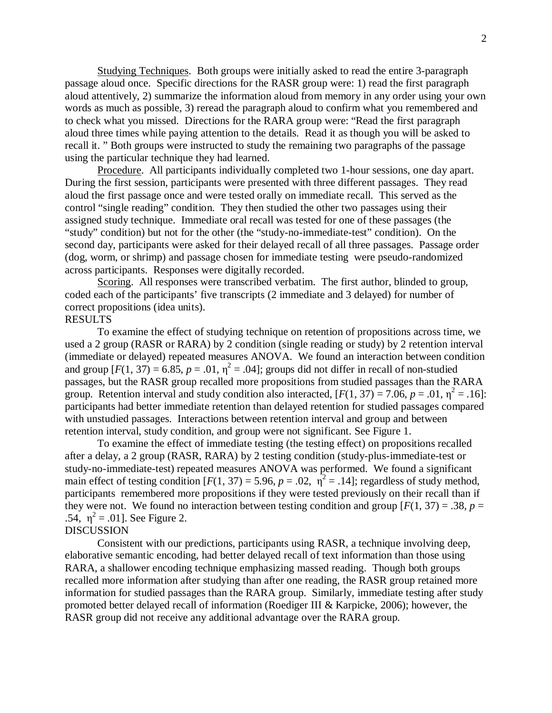Studying Techniques. Both groups were initially asked to read the entire 3-paragraph passage aloud once. Specific directions for the RASR group were: 1) read the first paragraph aloud attentively, 2) summarize the information aloud from memory in any order using your own words as much as possible, 3) reread the paragraph aloud to confirm what you remembered and to check what you missed. Directions for the RARA group were: "Read the first paragraph aloud three times while paying attention to the details. Read it as though you will be asked to recall it. " Both groups were instructed to study the remaining two paragraphs of the passage using the particular technique they had learned.

Procedure. All participants individually completed two 1-hour sessions, one day apart. During the first session, participants were presented with three different passages. They read aloud the first passage once and were tested orally on immediate recall. This served as the control "single reading" condition. They then studied the other two passages using their assigned study technique. Immediate oral recall was tested for one of these passages (the "study" condition) but not for the other (the "study-no-immediate-test" condition). On the second day, participants were asked for their delayed recall of all three passages. Passage order (dog, worm, or shrimp) and passage chosen for immediate testing were pseudo-randomized across participants. Responses were digitally recorded.

Scoring. All responses were transcribed verbatim. The first author, blinded to group, coded each of the participants' five transcripts (2 immediate and 3 delayed) for number of correct propositions (idea units).

### **RESULTS**

To examine the effect of studying technique on retention of propositions across time, we used a 2 group (RASR or RARA) by 2 condition (single reading or study) by 2 retention interval (immediate or delayed) repeated measures ANOVA. We found an interaction between condition and group  $[F(1, 37) = 6.85, p = .01, \eta^2 = .04]$ ; groups did not differ in recall of non-studied passages, but the RASR group recalled more propositions from studied passages than the RARA group. Retention interval and study condition also interacted,  $[F(1, 37) = 7.06, p = .01, \eta^2 = .16]$ : participants had better immediate retention than delayed retention for studied passages compared with unstudied passages. Interactions between retention interval and group and between retention interval, study condition, and group were not significant. See Figure 1.

To examine the effect of immediate testing (the testing effect) on propositions recalled after a delay, a 2 group (RASR, RARA) by 2 testing condition (study-plus-immediate-test or study-no-immediate-test) repeated measures ANOVA was performed. We found a significant main effect of testing condition  $[F(1, 37) = 5.96, p = .02, \eta^2 = .14]$ ; regardless of study method, participants remembered more propositions if they were tested previously on their recall than if they were not. We found no interaction between testing condition and group  $[F(1, 37) = .38, p =$ .54,  $\eta^2 = .01$ ]. See Figure 2.

# DISCUSSION

Consistent with our predictions, participants using RASR, a technique involving deep, elaborative semantic encoding, had better delayed recall of text information than those using RARA, a shallower encoding technique emphasizing massed reading. Though both groups recalled more information after studying than after one reading, the RASR group retained more information for studied passages than the RARA group. Similarly, immediate testing after study promoted better delayed recall of information (Roediger III & Karpicke, 2006); however, the RASR group did not receive any additional advantage over the RARA group.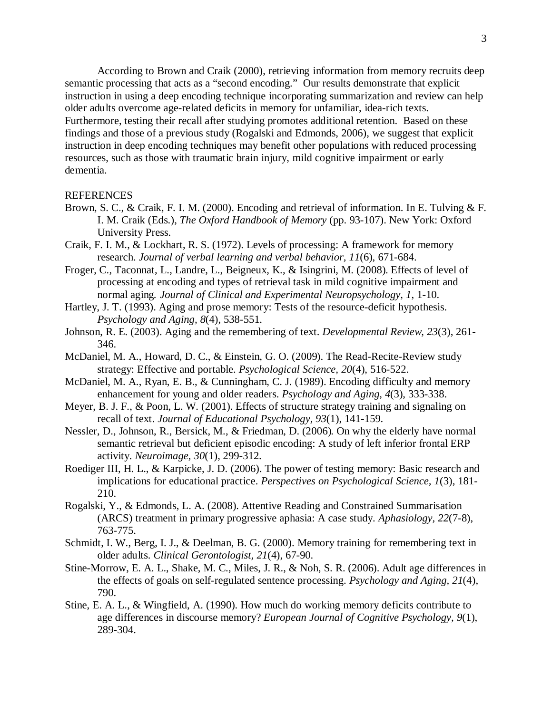According to Brown and Craik (2000), retrieving information from memory recruits deep semantic processing that acts as a "second encoding." Our results demonstrate that explicit instruction in using a deep encoding technique incorporating summarization and review can help older adults overcome age-related deficits in memory for unfamiliar, idea-rich texts. Furthermore, testing their recall after studying promotes additional retention. Based on these findings and those of a previous study (Rogalski and Edmonds, 2006), we suggest that explicit instruction in deep encoding techniques may benefit other populations with reduced processing resources, such as those with traumatic brain injury, mild cognitive impairment or early dementia.

#### REFERENCES

- Brown, S. C., & Craik, F. I. M. (2000). Encoding and retrieval of information. In E. Tulving & F. I. M. Craik (Eds.), *The Oxford Handbook of Memory* (pp. 93-107). New York: Oxford University Press.
- Craik, F. I. M., & Lockhart, R. S. (1972). Levels of processing: A framework for memory research. *Journal of verbal learning and verbal behavior, 11*(6), 671-684.
- Froger, C., Taconnat, L., Landre, L., Beigneux, K., & Isingrini, M. (2008). Effects of level of processing at encoding and types of retrieval task in mild cognitive impairment and normal aging. *Journal of Clinical and Experimental Neuropsychology, 1*, 1-10.
- Hartley, J. T. (1993). Aging and prose memory: Tests of the resource-deficit hypothesis. *Psychology and Aging, 8*(4), 538-551.
- Johnson, R. E. (2003). Aging and the remembering of text. *Developmental Review, 23*(3), 261- 346.
- McDaniel, M. A., Howard, D. C., & Einstein, G. O. (2009). The Read-Recite-Review study strategy: Effective and portable. *Psychological Science, 20*(4), 516-522.
- McDaniel, M. A., Ryan, E. B., & Cunningham, C. J. (1989). Encoding difficulty and memory enhancement for young and older readers. *Psychology and Aging, 4*(3), 333-338.
- Meyer, B. J. F., & Poon, L. W. (2001). Effects of structure strategy training and signaling on recall of text. *Journal of Educational Psychology, 93*(1), 141-159.
- Nessler, D., Johnson, R., Bersick, M., & Friedman, D. (2006). On why the elderly have normal semantic retrieval but deficient episodic encoding: A study of left inferior frontal ERP activity. *Neuroimage, 30*(1), 299-312.
- Roediger III, H. L., & Karpicke, J. D. (2006). The power of testing memory: Basic research and implications for educational practice. *Perspectives on Psychological Science, 1*(3), 181- 210.
- Rogalski, Y., & Edmonds, L. A. (2008). Attentive Reading and Constrained Summarisation (ARCS) treatment in primary progressive aphasia: A case study. *Aphasiology, 22*(7-8), 763-775.
- Schmidt, I. W., Berg, I. J., & Deelman, B. G. (2000). Memory training for remembering text in older adults. *Clinical Gerontologist, 21*(4), 67-90.
- Stine-Morrow, E. A. L., Shake, M. C., Miles, J. R., & Noh, S. R. (2006). Adult age differences in the effects of goals on self-regulated sentence processing. *Psychology and Aging, 21*(4), 790.
- Stine, E. A. L., & Wingfield, A. (1990). How much do working memory deficits contribute to age differences in discourse memory? *European Journal of Cognitive Psychology, 9*(1), 289-304.